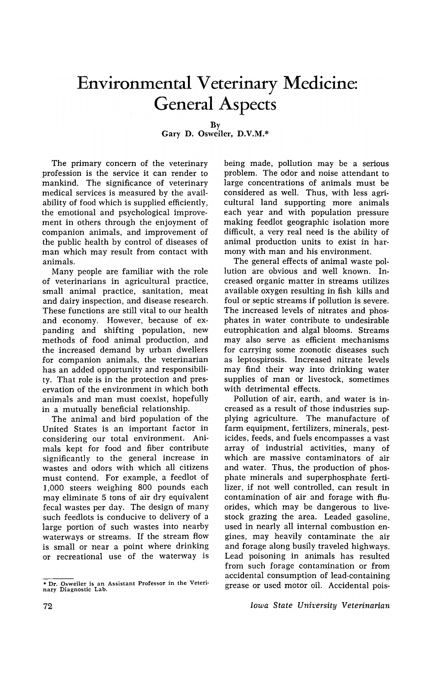## **Environmental Veterinary Medicine: General Aspects**

By

Gary D. Osweiler, D.V.M.\*

The primary concern of the veterinary profession is the service it can render to mankind. The significance of veterinary medical services is measured by the availability of food which is supplied efficiently, the emotional and psychological improvement in others through the enjoyment of companion animals, and improvement of the public health by control of diseases of man which may result from contact with animals.

Many people are familiar with the role of veterinarians in agricultural practice, small animal practice, sanitation, meat and dairy inspection, and disease research. These functions are still vital to our health and economy. However, because of expanding and shifting population, new methods of food animal production, and the increased demand by urban dwellers for companion animals, the veterinarian has an added opportunity and responsibility. That role is in the protection and preservation of the environment in which both animals and man must coexist, hopefully in a mutually beneficial relationship.

The animal and bird population of the United States is an important factor in considering our total environment. Animals kept for food and fiber contribute significantly to the general increase in wastes and odors with which all citizens must contend. For example, a feedlot of 1,000 steers weighing 800 pounds each may eliminate 5 tons of air dry equivalent fecal wastes per day. The design of many such feedlots is conducive to delivery of a large portion of such wastes into nearby waterways or streams. If the stream flow is small or near a point where drinking or recreational use of the waterway is

being made, pollution may be a serious problem. The odor and noise attendant to large concentrations of animals must be considered as welL Thus, with less agricultural land supporting more animals each year and with population pressure making feedlot geographic isolation more difficult, a very real need is the ability of animal production units to exist in harmony with man and his environment.

The general effects of animal waste pollution are obvious and well known. Increased organic matter in streams utilizes available oxygen resulting in fish kills and foul or septic streams if pollution is severe. The increased levels of nitrates and phosphates in water contribute to undesirable eutrophication and algal blooms. Streams may also serve as efficient mechanisms for carrying some zoonotic diseases such as leptospirosis. Increased nitrate levels may find their way into drinking water supplies of man or livestock, sometimes with detrimental effects.

Pollution of air, earth, and water is increased as a result of those industries supplying agriculture. The manufacture of farm equipment, fertilizers, minerals, pesticides, feeds, and fuels encompasses a vast array of industrial activities, many of which are massive contaminators of air and water. Thus, the production of phosphate minerals and superphosphate fertilizer, if not well controlled, can result in contamination of air. and forage with fluorides, which may be dangerous to livestock grazing the area. Leaded gasoline, used in nearly all internal combustion engines, may heavily contaminate the air and forage along busily traveled highways. Lead poisoning in animals has resulted from such forage contamination or from accidental consumption of lead-containing grease or used motor oil. Accidental pois-

Iowa State University Veterinarian

<sup>•</sup> Dr. Osweiler is an Assistant Professor in the Veteri· nary Diagnostic Lab.